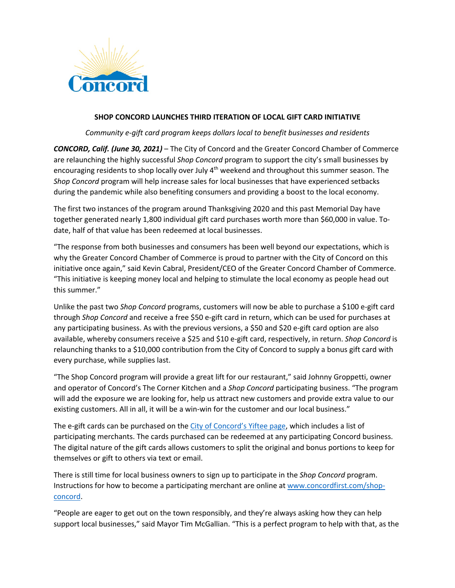

## **SHOP CONCORD LAUNCHES THIRD ITERATION OF LOCAL GIFT CARD INITIATIVE**

*Community e-gift card program keeps dollars local to benefit businesses and residents*

*CONCORD, Calif. (June 30, 2021)* – The City of Concord and the Greater Concord Chamber of Commerce are relaunching the highly successful *Shop Concord* program to support the city's small businesses by encouraging residents to shop locally over July 4<sup>th</sup> weekend and throughout this summer season. The *Shop Concord* program will help increase sales for local businesses that have experienced setbacks during the pandemic while also benefiting consumers and providing a boost to the local economy.

The first two instances of the program around Thanksgiving 2020 and this past Memorial Day have together generated nearly 1,800 individual gift card purchases worth more than \$60,000 in value. Todate, half of that value has been redeemed at local businesses.

"The response from both businesses and consumers has been well beyond our expectations, which is why the Greater Concord Chamber of Commerce is proud to partner with the City of Concord on this initiative once again," said Kevin Cabral, President/CEO of the Greater Concord Chamber of Commerce. "This initiative is keeping money local and helping to stimulate the local economy as people head out this summer."

Unlike the past two *Shop Concord* programs, customers will now be able to purchase a \$100 e-gift card through *Shop Concord* and receive a free \$50 e-gift card in return, which can be used for purchases at any participating business. As with the previous versions, a \$50 and \$20 e-gift card option are also available, whereby consumers receive a \$25 and \$10 e-gift card, respectively, in return. *Shop Concord* is relaunching thanks to a \$10,000 contribution from the City of Concord to supply a bonus gift card with every purchase, while supplies last.

"The Shop Concord program will provide a great lift for our restaurant," said Johnny Groppetti, owner and operator of Concord's The Corner Kitchen and a *Shop Concord* participating business. "The program will add the exposure we are looking for, help us attract new customers and provide extra value to our existing customers. All in all, it will be a win-win for the customer and our local business."

The e-gift cards can be purchased on the City of Concord's Yiftee page, which includes a list of participating merchants. The cards purchased can be redeemed at any participating Concord business. The digital nature of the gift cards allows customers to split the original and bonus portions to keep for themselves or gift to others via text or email.

There is still time for local business owners to sign up to participate in the *Shop Concord* program. Instructions for how to become a participating merchant are online at www.concordfirst.com/shopconcord.

"People are eager to get out on the town responsibly, and they're always asking how they can help support local businesses," said Mayor Tim McGallian. "This is a perfect program to help with that, as the